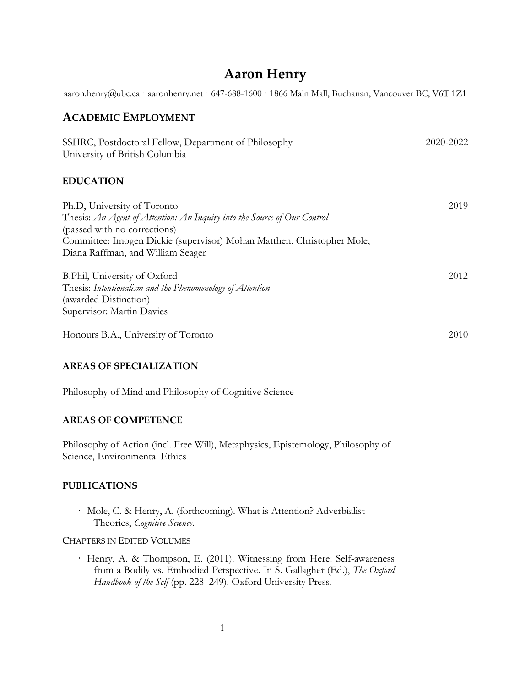# **Aaron Henry**

aaron.henry@ubc.ca · aaronhenry.net · 647-688-1600 · 1866 Main Mall, Buchanan, Vancouver BC, V6T 1Z1

### **ACADEMIC EMPLOYMENT**

| SSHRC, Postdoctoral Fellow, Department of Philosophy<br>University of British Columbia                                                                                                                                                                 | 2020-2022 |
|--------------------------------------------------------------------------------------------------------------------------------------------------------------------------------------------------------------------------------------------------------|-----------|
| <b>EDUCATION</b>                                                                                                                                                                                                                                       |           |
| Ph.D, University of Toronto<br>Thesis: An Agent of Attention: An Inquiry into the Source of Our Control<br>(passed with no corrections)<br>Committee: Imogen Dickie (supervisor) Mohan Matthen, Christopher Mole,<br>Diana Raffman, and William Seager | 2019      |
| B.Phil, University of Oxford<br>Thesis: Intentionalism and the Phenomenology of Attention<br>(awarded Distinction)<br>Supervisor: Martin Davies                                                                                                        | 2012      |
| Honours B.A., University of Toronto                                                                                                                                                                                                                    | 2010      |

#### **AREAS OF SPECIALIZATION**

Philosophy of Mind and Philosophy of Cognitive Science

#### **AREAS OF COMPETENCE**

Philosophy of Action (incl. Free Will), Metaphysics, Epistemology, Philosophy of Science, Environmental Ethics

#### **PUBLICATIONS**

· Mole, C. & Henry, A. (forthcoming). What is Attention? Adverbialist Theories, *Cognitive Science*.

#### CHAPTERS IN EDITED VOLUMES

· Henry, A. & Thompson, E. (2011). Witnessing from Here: Self-awareness from a Bodily vs. Embodied Perspective. In S. Gallagher (Ed.), *The Oxford Handbook of the Self* (pp. 228–249). Oxford University Press.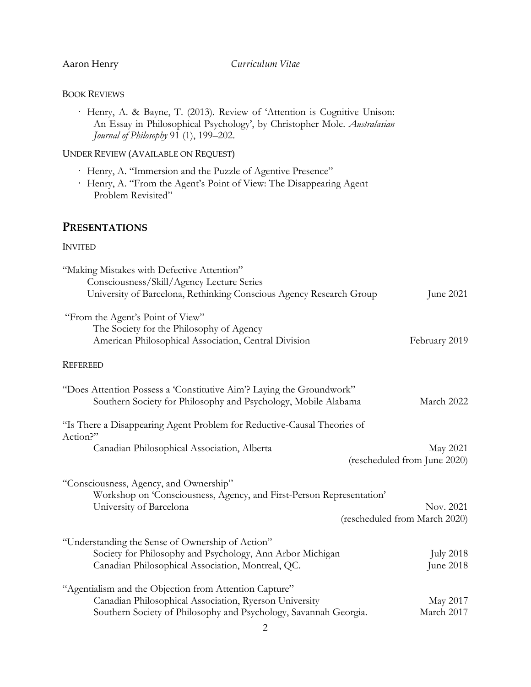#### BOOK REVIEWS

| Henry, A. & Bayne, T. (2013). Review of 'Attention is Cognitive Unison:  |
|--------------------------------------------------------------------------|
| An Essay in Philosophical Psychology', by Christopher Mole. Australasian |
| Journal of Philosophy 91 (1), 199–202.                                   |

### UNDER REVIEW (AVAILABLE ON REQUEST)

- · Henry, A. "Immersion and the Puzzle of Agentive Presence"
- · Henry, A. "From the Agent's Point of View: The Disappearing Agent Problem Revisited"

## **PRESENTATIONS**

#### INVITED

| "Making Mistakes with Defective Attention"                              |                               |
|-------------------------------------------------------------------------|-------------------------------|
| Consciousness/Skill/Agency Lecture Series                               |                               |
| University of Barcelona, Rethinking Conscious Agency Research Group     | June 2021                     |
| "From the Agent's Point of View"                                        |                               |
| The Society for the Philosophy of Agency                                |                               |
| American Philosophical Association, Central Division                    | February 2019                 |
|                                                                         |                               |
| <b>REFEREED</b>                                                         |                               |
| "Does Attention Possess a 'Constitutive Aim'? Laying the Groundwork"    |                               |
| Southern Society for Philosophy and Psychology, Mobile Alabama          | March 2022                    |
|                                                                         |                               |
| "Is There a Disappearing Agent Problem for Reductive-Causal Theories of |                               |
| Action?"                                                                |                               |
| Canadian Philosophical Association, Alberta                             | May 2021                      |
|                                                                         | (rescheduled from June 2020)  |
| "Consciousness, Agency, and Ownership"                                  |                               |
| Workshop on 'Consciousness, Agency, and First-Person Representation'    |                               |
| University of Barcelona                                                 | Nov. 2021                     |
|                                                                         | (rescheduled from March 2020) |
|                                                                         |                               |
| "Understanding the Sense of Ownership of Action"                        |                               |
| Society for Philosophy and Psychology, Ann Arbor Michigan               | <b>July 2018</b>              |
| Canadian Philosophical Association, Montreal, QC.                       | June 2018                     |
|                                                                         |                               |
| "Agentialism and the Objection from Attention Capture"                  |                               |
| Canadian Philosophical Association, Ryerson University                  | May 2017                      |
| Southern Society of Philosophy and Psychology, Savannah Georgia.        | March 2017                    |
|                                                                         |                               |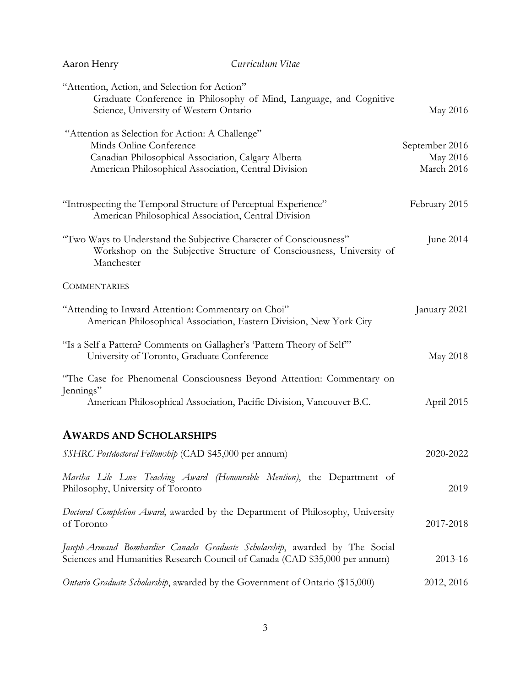| Aaron Henry                                                                                                                                                                                | Curriculum Vitae                                                                                                                                           |                                          |
|--------------------------------------------------------------------------------------------------------------------------------------------------------------------------------------------|------------------------------------------------------------------------------------------------------------------------------------------------------------|------------------------------------------|
| "Attention, Action, and Selection for Action"<br>Science, University of Western Ontario                                                                                                    | Graduate Conference in Philosophy of Mind, Language, and Cognitive                                                                                         | May 2016                                 |
| "Attention as Selection for Action: A Challenge"<br>Minds Online Conference<br>Canadian Philosophical Association, Calgary Alberta<br>American Philosophical Association, Central Division |                                                                                                                                                            | September 2016<br>May 2016<br>March 2016 |
| "Introspecting the Temporal Structure of Perceptual Experience"<br>American Philosophical Association, Central Division                                                                    |                                                                                                                                                            | February 2015                            |
| "Two Ways to Understand the Subjective Character of Consciousness"<br>Manchester                                                                                                           | Workshop on the Subjective Structure of Consciousness, University of                                                                                       | June 2014                                |
| <b>COMMENTARIES</b>                                                                                                                                                                        |                                                                                                                                                            |                                          |
| "Attending to Inward Attention: Commentary on Choi"                                                                                                                                        | American Philosophical Association, Eastern Division, New York City                                                                                        | January 2021                             |
| "Is a Self a Pattern? Comments on Gallagher's 'Pattern Theory of Self"<br>University of Toronto, Graduate Conference                                                                       |                                                                                                                                                            | May 2018                                 |
| Jennings"                                                                                                                                                                                  | "The Case for Phenomenal Consciousness Beyond Attention: Commentary on<br>American Philosophical Association, Pacific Division, Vancouver B.C.             | April 2015                               |
| <b>AWARDS AND SCHOLARSHIPS</b>                                                                                                                                                             |                                                                                                                                                            |                                          |
| SSHRC Postdoctoral Fellowship (CAD \$45,000 per annum)                                                                                                                                     |                                                                                                                                                            | 2020-2022                                |
| Philosophy, University of Toronto                                                                                                                                                          | Martha Lile Love Teaching Award (Honourable Mention), the Department of                                                                                    | 2019                                     |
| of Toronto                                                                                                                                                                                 | Doctoral Completion Award, awarded by the Department of Philosophy, University                                                                             | 2017-2018                                |
|                                                                                                                                                                                            | Joseph-Armand Bombardier Canada Graduate Scholarship, awarded by The Social<br>Sciences and Humanities Research Council of Canada (CAD \$35,000 per annum) | 2013-16                                  |
| Ontario Graduate Scholarship, awarded by the Government of Ontario (\$15,000)                                                                                                              |                                                                                                                                                            | 2012, 2016                               |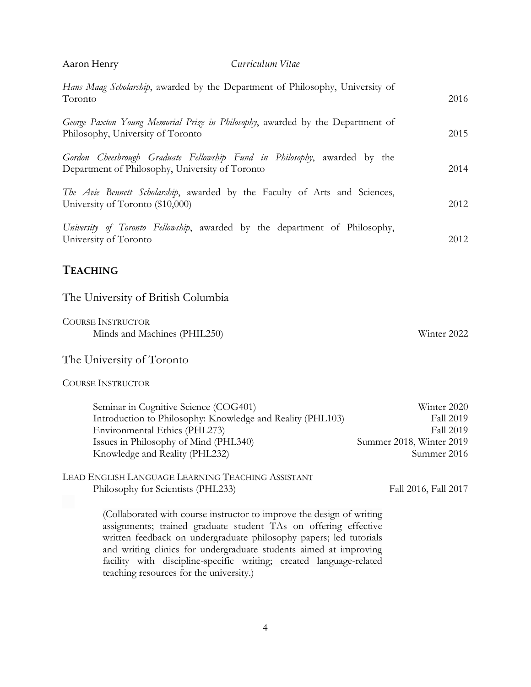| Aaron Henry                                                                                                                                                                                                     | Curriculum Vitae                                                                                                                         |                                                                                  |
|-----------------------------------------------------------------------------------------------------------------------------------------------------------------------------------------------------------------|------------------------------------------------------------------------------------------------------------------------------------------|----------------------------------------------------------------------------------|
| Hans Maag Scholarship, awarded by the Department of Philosophy, University of<br>Toronto                                                                                                                        |                                                                                                                                          | 2016                                                                             |
| George Paxton Young Memorial Prize in Philosophy, awarded by the Department of<br>Philosophy, University of Toronto                                                                                             |                                                                                                                                          | 2015                                                                             |
| Gordon Cheesbrough Graduate Fellowship Fund in Philosophy, awarded by the<br>Department of Philosophy, University of Toronto                                                                                    |                                                                                                                                          | 2014                                                                             |
| The Avie Bennett Scholarship, awarded by the Faculty of Arts and Sciences,<br>University of Toronto (\$10,000)                                                                                                  |                                                                                                                                          | 2012                                                                             |
| University of Toronto Fellowship, awarded by the department of Philosophy,<br>University of Toronto                                                                                                             |                                                                                                                                          | 2012                                                                             |
| <b>TEACHING</b>                                                                                                                                                                                                 |                                                                                                                                          |                                                                                  |
| The University of British Columbia                                                                                                                                                                              |                                                                                                                                          |                                                                                  |
| <b>COURSE INSTRUCTOR</b><br>Minds and Machines (PHIL250)                                                                                                                                                        |                                                                                                                                          | Winter 2022                                                                      |
| The University of Toronto                                                                                                                                                                                       |                                                                                                                                          |                                                                                  |
| <b>COURSE INSTRUCTOR</b>                                                                                                                                                                                        |                                                                                                                                          |                                                                                  |
| Seminar in Cognitive Science (COG401)<br>Introduction to Philosophy: Knowledge and Reality (PHL103)<br>Environmental Ethics (PHL273)<br>Issues in Philosophy of Mind (PHL340)<br>Knowledge and Reality (PHL232) |                                                                                                                                          | Winter 2020<br>Fall 2019<br>Fall 2019<br>Summer 2018, Winter 2019<br>Summer 2016 |
| LEAD ENGLISH LANGUAGE LEARNING TEACHING ASSISTANT<br>Philosophy for Scientists (PHL233)                                                                                                                         | (Collaborated with course instructor to improve the design of writing                                                                    | Fall 2016, Fall 2017                                                             |
| assignments; trained graduate student TAs on offering effective<br>written feedback on undergraduate philosophy papers; led tutorials                                                                           | and writing clinics for undergraduate students aimed at improving<br>facility with discipline-specific writing; created language-related |                                                                                  |

4

teaching resources for the university.)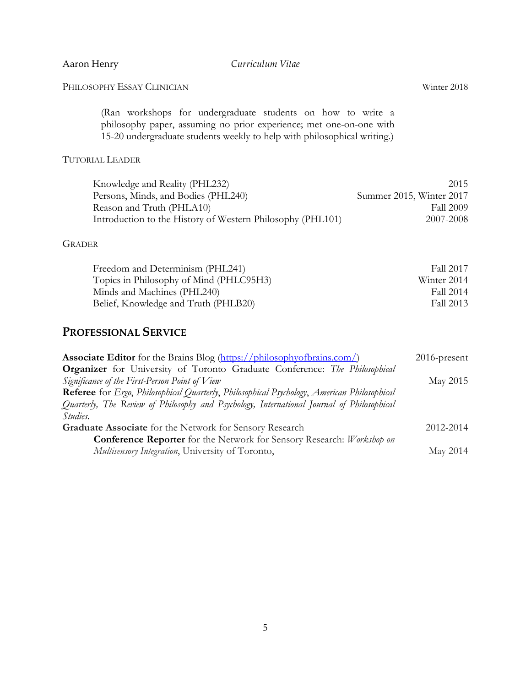PHILOSOPHY ESSAY CLINICIAN Winter 2018

(Ran workshops for undergraduate students on how to write a philosophy paper, assuming no prior experience; met one-on-one with 15-20 undergraduate students weekly to help with philosophical writing.)

#### TUTORIAL LEADER

| Knowledge and Reality (PHL232)                             | 2015                     |
|------------------------------------------------------------|--------------------------|
| Persons, Minds, and Bodies (PHL240)                        | Summer 2015, Winter 2017 |
| Reason and Truth (PHLA10)                                  | Fall 2009                |
| Introduction to the History of Western Philosophy (PHL101) | 2007-2008                |

#### GRADER

| Freedom and Determinism (PHL241)        | Fall 2017   |
|-----------------------------------------|-------------|
| Topics in Philosophy of Mind (PHLC95H3) | Winter 2014 |
| Minds and Machines (PHL240)             | Fall 2014   |
| Belief, Knowledge and Truth (PHLB20)    | Fall 2013   |

# **PROFESSIONAL SERVICE**

| Associate Editor for the Brains Blog (https://philosophyofbrains.com/)                                    | $2016$ -present |
|-----------------------------------------------------------------------------------------------------------|-----------------|
| <b>Organizer</b> for University of Toronto Graduate Conference: The Philosophical                         |                 |
| Significance of the First-Person Point of View                                                            | May 2015        |
| <b>Referee</b> for <i>Ergo, Philosophical Quarterly, Philosophical Psychology, American Philosophical</i> |                 |
| Quarterly, The Review of Philosophy and Psychology, International Journal of Philosophical                |                 |
| <i>Studies.</i>                                                                                           |                 |
| <b>Graduate Associate</b> for the Network for Sensory Research                                            | 2012-2014       |
| <b>Conference Reporter</b> for the Network for Sensory Research: Workshop on                              |                 |
| Multisensory Integration, University of Toronto,                                                          | May 2014        |
|                                                                                                           |                 |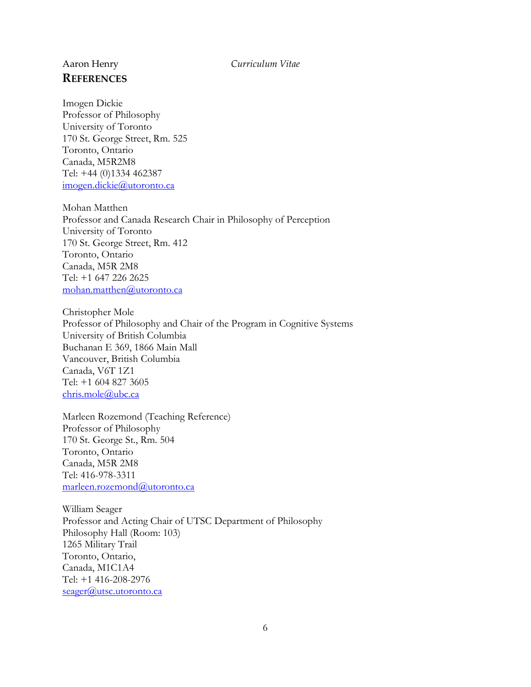# **REFERENCES**

Imogen Dickie Professor of Philosophy University of Toronto 170 St. George Street, Rm. 525 Toronto, Ontario Canada, M5R2M8 Tel: +44 (0)1334 462387 [imogen.dickie@utoronto.ca](mailto:imogen.dickie@utoronto.ca)

Mohan Matthen Professor and Canada Research Chair in Philosophy of Perception University of Toronto 170 St. George Street, Rm. 412 Toronto, Ontario Canada, M5R 2M8 Tel: +1 647 226 2625 [mohan.matthen@utoronto.ca](mailto:mohan.matthen@utoronto.ca)

Christopher Mole Professor of Philosophy and Chair of the Program in Cognitive Systems University of British Columbia Buchanan E 369, 1866 Main Mall Vancouver, British Columbia Canada, V6T 1Z1 Tel: +1 604 827 3605 [chris.mole@ubc.ca](mailto:chris.mole@ubc.ca)

Marleen Rozemond (Teaching Reference) Professor of Philosophy 170 St. George St., Rm. 504 Toronto, Ontario Canada, M5R 2M8 Tel: 416-978-3311 [marleen.rozemond@utoronto.ca](mailto:marleen.rozemond@utoronto.ca)

William Seager Professor and Acting Chair of UTSC Department of Philosophy Philosophy Hall (Room: 103) 1265 Military Trail Toronto, Ontario, Canada, M1C1A4 Tel: +1 416-208-2976 [seager@utsc.utoronto.ca](mailto:seager@utsc.utoronto.ca)